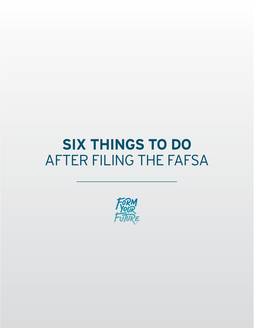# **SIX THINGS TO DO** AFTER FILING THE FAFSA

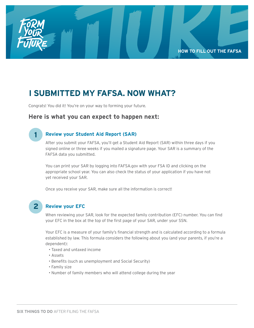

# **I SUBMITTED MY FAFSA. NOW WHAT?**

Congrats! You did it! You're on your way to forming your future.

### **Here is what you can expect to happen next:**

### **1**

#### **Review your Student Aid Report (SAR)**

After you submit your FAFSA, you'll get a Student Aid Report (SAR) within three days if you signed online or three weeks if you mailed a signature page. Your SAR is a summary of the FAFSA data you submitted.

You can print your SAR by logging into FAFSA.gov with your FSA ID and clicking on the appropriate school year. You can also check the status of your application if you have not yet received your SAR.

Once you receive your SAR, make sure all the information is correct!

# **2**

#### **Review your EFC**

When reviewing your SAR, look for the expected family contribution (EFC) number. You can find your EFC in the box at the top of the first page of your SAR, under your SSN.

Your EFC is a measure of your family's financial strength and is calculated according to a formula established by law. This formula considers the following about you (and your parents, if you're a dependent):

- Taxed and untaxed income
- Assets
- Benefits (such as unemployment and Social Security)
- Family size
- Number of family members who will attend college during the year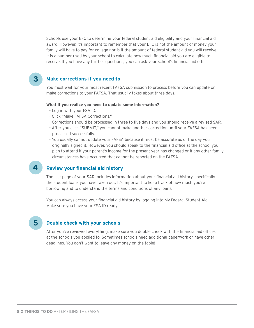Schools use your EFC to determine your federal student aid eligibility and your financial aid award. However, it's important to remember that your EFC is not the amount of money your family will have to pay for college nor is it the amount of federal student aid you will receive. It is a number used by your school to calculate how much financial aid you are eligible to receive. If you have any further questions, you can ask your school's financial aid office.

#### **Make corrections if you need to**

You must wait for your most recent FAFSA submission to process before you can update or make corrections to your FAFSA. That usually takes about three days.

#### **What if you realize you need to update some information?**

- Log in with your FSA ID.
- Click "Make FAFSA Corrections."
- Corrections should be processed in three to five days and you should receive a revised SAR.
- After you click "SUBMIT," you cannot make another correction until your FAFSA has been processed successfully.
- You usually cannot update your FAFSA because it must be accurate as of the day you originally signed it. However, you should speak to the financial aid office at the school you plan to attend if your parent's income for the present year has changed or if any other family circumstances have occurred that cannot be reported on the FAFSA.

#### **Review your financial aid history**

The last page of your SAR includes information about your financial aid history, specifically the student loans you have taken out. It's important to keep track of how much you're borrowing and to understand the terms and conditions of any loans.

You can always access your financial aid history by logging into My Federal Student Aid. Make sure you have your FSA ID ready.

**5**

**4**

**3**

#### **Double check with your schools**

After you've reviewed everything, make sure you double check with the financial aid offices at the schools you applied to. Sometimes schools need additional paperwork or have other deadlines. You don't want to leave any money on the table!